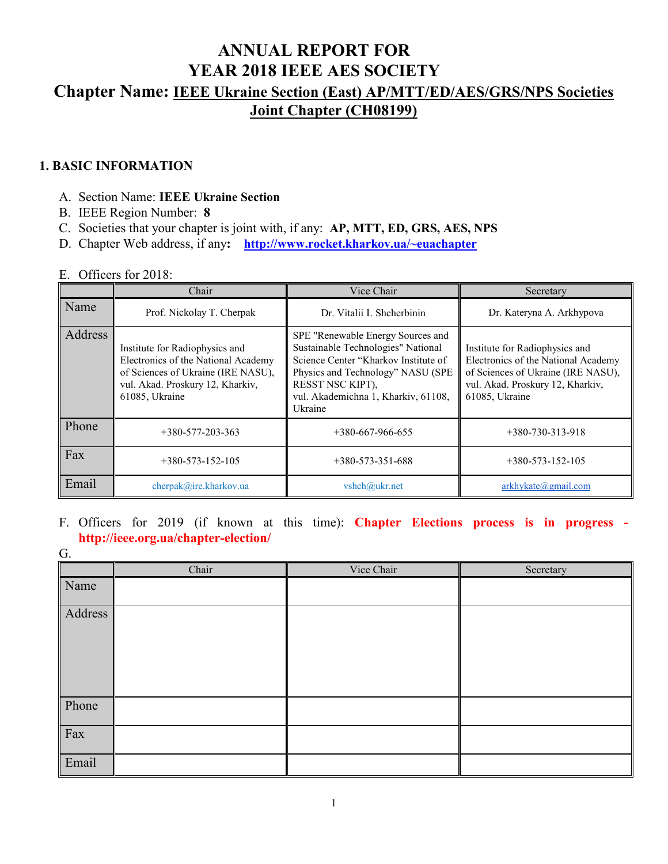# **ANNUAL REPORT FOR YEAR 2018 IEEE AES SOCIETY Chapter Name: IEEE Ukraine Section (East) AP/MTT/ED/AES/GRS/NPS Societies Joint Chapter (CH08199)**

#### **1. BASIC INFORMATION**

- A. Section Name: **IEEE Ukraine Section**
- B. IEEE Region Number: **8**
- C. Societies that your chapter is joint with, if any: **AP, MTT, ED, GRS, AES, NPS**
- D. Chapter Web address, if any**: [http://www.rocket.kharkov.ua/~euachapter](http://www.rocket.kharkov.ua/%7Eeuachapter)**

#### E. Officers for 2018:

|         | Chair                                                                                                                                                             | Vice Chair                                                                                                                                                                                                                 | Secretary                                                                                                                                                         |
|---------|-------------------------------------------------------------------------------------------------------------------------------------------------------------------|----------------------------------------------------------------------------------------------------------------------------------------------------------------------------------------------------------------------------|-------------------------------------------------------------------------------------------------------------------------------------------------------------------|
| Name    | Prof. Nickolay T. Cherpak                                                                                                                                         | Dr. Vitalii I. Shcherbinin                                                                                                                                                                                                 | Dr. Kateryna A. Arkhypova                                                                                                                                         |
| Address | Institute for Radiophysics and<br>Electronics of the National Academy<br>of Sciences of Ukraine (IRE NASU),<br>vul. Akad. Proskury 12, Kharkiv,<br>61085, Ukraine | SPE "Renewable Energy Sources and<br>Sustainable Technologies" National<br>Science Center "Kharkov Institute of<br>Physics and Technology" NASU (SPE<br>RESST NSC KIPT),<br>vul. Akademichna 1, Kharkiv, 61108,<br>Ukraine | Institute for Radiophysics and<br>Electronics of the National Academy<br>of Sciences of Ukraine (IRE NASU),<br>vul. Akad. Proskury 12, Kharkiv,<br>61085, Ukraine |
| Phone   | $+380 - 577 - 203 - 363$                                                                                                                                          | $+380-667-966-655$                                                                                                                                                                                                         | $+380-730-313-918$                                                                                                                                                |
| Fax     | $+380 - 573 - 152 - 105$                                                                                                                                          | $+380-573-351-688$                                                                                                                                                                                                         | $+380-573-152-105$                                                                                                                                                |
| Email   | cherpak@ire.kharkov.ua                                                                                                                                            | vshch@ukr.net                                                                                                                                                                                                              | arkhykate@gmail.com                                                                                                                                               |

### F. Officers for 2019 (if known at this time): **Chapter Elections process is in progress http://ieee.org.ua/chapter-election/**

|         | Chair | Vice Chair | Secretary |
|---------|-------|------------|-----------|
| Name    |       |            |           |
| Address |       |            |           |
| Phone   |       |            |           |
| Fax     |       |            |           |
| Email   |       |            |           |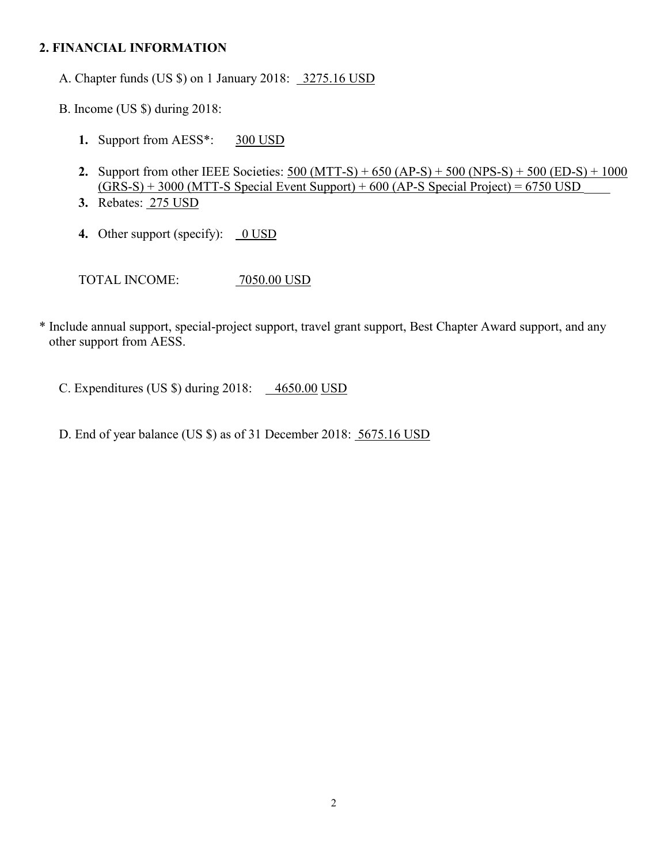#### **2. FINANCIAL INFORMATION**

A. Chapter funds (US \$) on 1 January 2018: 3275.16 USD

B. Income (US \$) during 2018:

- **1.** Support from AESS\*: 300 USD
- **2.** Support from other IEEE Societies:  $500 (MTT-S) + 650 (AP-S) + 500 (NPS-S) + 500 (ED-S) + 1000$  $(GRS-S) + 3000 (MTT-S Special Event Support) + 600 (AP-S Special Project) = 6750 USD$
- **3.** Rebates: 275 USD
- **4.** Other support (specify): 0 USD

TOTAL INCOME: 7050.00 USD

\* Include annual support, special-project support, travel grant support, Best Chapter Award support, and any other support from AESS.

C. Expenditures (US  $\text{\$}$ ) during 2018:  $\frac{4650.00 \text{ USD}}{}$ 

D. End of year balance (US \$) as of 31 December 2018: 5675.16 USD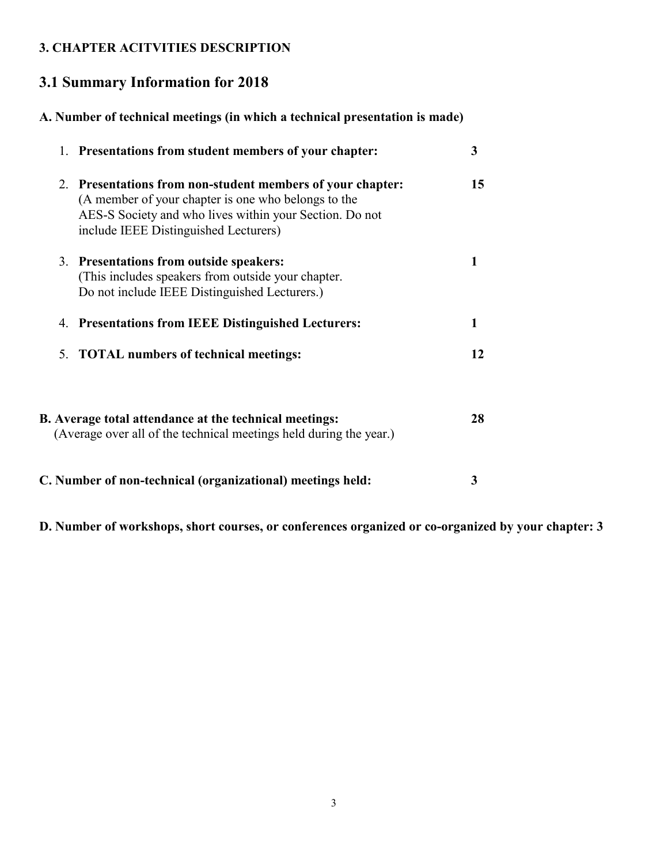## **3. CHAPTER ACITVITIES DESCRIPTION**

# **3.1 Summary Information for 2018**

# **A. Number of technical meetings (in which a technical presentation is made)**

| 1. Presentations from student members of your chapter:                                                                                                                                                                | 3  |
|-----------------------------------------------------------------------------------------------------------------------------------------------------------------------------------------------------------------------|----|
| 2. Presentations from non-student members of your chapter:<br>(A member of your chapter is one who belongs to the<br>AES-S Society and who lives within your Section. Do not<br>include IEEE Distinguished Lecturers) | 15 |
| 3. Presentations from outside speakers:<br>(This includes speakers from outside your chapter.<br>Do not include IEEE Distinguished Lecturers.)                                                                        |    |
| 4. Presentations from IEEE Distinguished Lecturers:                                                                                                                                                                   |    |
| 5. TOTAL numbers of technical meetings:                                                                                                                                                                               | 12 |
| B. Average total attendance at the technical meetings:<br>(Average over all of the technical meetings held during the year.)                                                                                          | 28 |
| C. Number of non-technical (organizational) meetings held:                                                                                                                                                            | 3  |

**D. Number of workshops, short courses, or conferences organized or co-organized by your chapter: 3**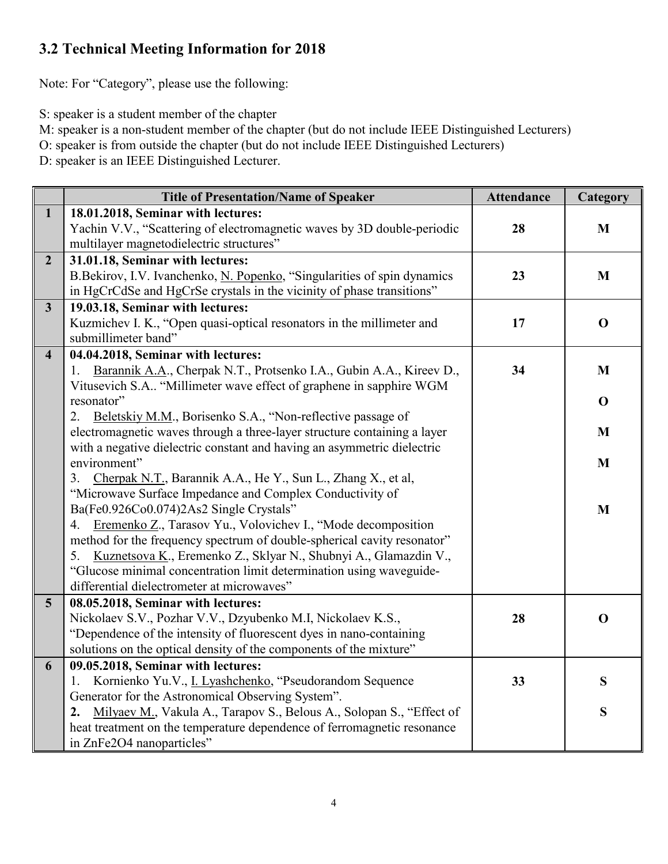# **3.2 Technical Meeting Information for 2018**

Note: For "Category", please use the following:

S: speaker is a student member of the chapter

M: speaker is a non-student member of the chapter (but do not include IEEE Distinguished Lecturers)

O: speaker is from outside the chapter (but do not include IEEE Distinguished Lecturers)

D: speaker is an IEEE Distinguished Lecturer.

|                         | <b>Title of Presentation/Name of Speaker</b>                                            | <b>Attendance</b> | Category    |
|-------------------------|-----------------------------------------------------------------------------------------|-------------------|-------------|
| $\mathbf{1}$            | 18.01.2018, Seminar with lectures:                                                      |                   |             |
|                         | Yachin V.V., "Scattering of electromagnetic waves by 3D double-periodic                 | 28                | M           |
|                         | multilayer magnetodielectric structures"                                                |                   |             |
| $\overline{2}$          | 31.01.18, Seminar with lectures:                                                        |                   |             |
|                         | B.Bekirov, I.V. Ivanchenko, N. Popenko, "Singularities of spin dynamics                 | 23                | M           |
|                         | in HgCrCdSe and HgCrSe crystals in the vicinity of phase transitions"                   |                   |             |
| $\overline{\mathbf{3}}$ | 19.03.18, Seminar with lectures:                                                        |                   |             |
|                         | Kuzmichev I. K., "Open quasi-optical resonators in the millimeter and                   | 17                | $\mathbf 0$ |
|                         | submillimeter band"                                                                     |                   |             |
| $\overline{\mathbf{4}}$ | 04.04.2018, Seminar with lectures:                                                      |                   |             |
|                         | Barannik A.A., Cherpak N.T., Protsenko I.A., Gubin A.A., Kireev D.,<br>1.               | 34                | M           |
|                         | Vitusevich S.A "Millimeter wave effect of graphene in sapphire WGM                      |                   |             |
|                         | resonator"                                                                              |                   | $\mathbf 0$ |
|                         | Beletskiy M.M., Borisenko S.A., "Non-reflective passage of<br>2.                        |                   |             |
|                         | electromagnetic waves through a three-layer structure containing a layer                |                   | M           |
|                         | with a negative dielectric constant and having an asymmetric dielectric<br>environment" |                   |             |
|                         | Cherpak N.T., Barannik A.A., He Y., Sun L., Zhang X., et al,<br>3.                      |                   | M           |
|                         | "Microwave Surface Impedance and Complex Conductivity of                                |                   |             |
|                         | Ba(Fe0.926Co0.074)2As2 Single Crystals"                                                 |                   | M           |
|                         | Eremenko Z., Tarasov Yu., Volovichev I., "Mode decomposition<br>4.                      |                   |             |
|                         | method for the frequency spectrum of double-spherical cavity resonator"                 |                   |             |
|                         | Kuznetsova K., Eremenko Z., Sklyar N., Shubnyi A., Glamazdin V.,<br>5.                  |                   |             |
|                         | "Glucose minimal concentration limit determination using waveguide-                     |                   |             |
|                         | differential dielectrometer at microwaves"                                              |                   |             |
| $5\overline{)}$         | 08.05.2018, Seminar with lectures:                                                      |                   |             |
|                         | Nickolaev S.V., Pozhar V.V., Dzyubenko M.I, Nickolaev K.S.,                             | 28                | $\mathbf 0$ |
|                         | "Dependence of the intensity of fluorescent dyes in nano-containing                     |                   |             |
|                         | solutions on the optical density of the components of the mixture"                      |                   |             |
| 6                       | 09.05.2018, Seminar with lectures:                                                      |                   |             |
|                         | Kornienko Yu.V., I. Lyashchenko, "Pseudorandom Sequence<br>1.                           | 33                | S           |
|                         | Generator for the Astronomical Observing System".                                       |                   |             |
|                         | Milyaev M., Vakula A., Tarapov S., Belous A., Solopan S., "Effect of<br>2.              |                   | S           |
|                         | heat treatment on the temperature dependence of ferromagnetic resonance                 |                   |             |
|                         | in ZnFe2O4 nanoparticles"                                                               |                   |             |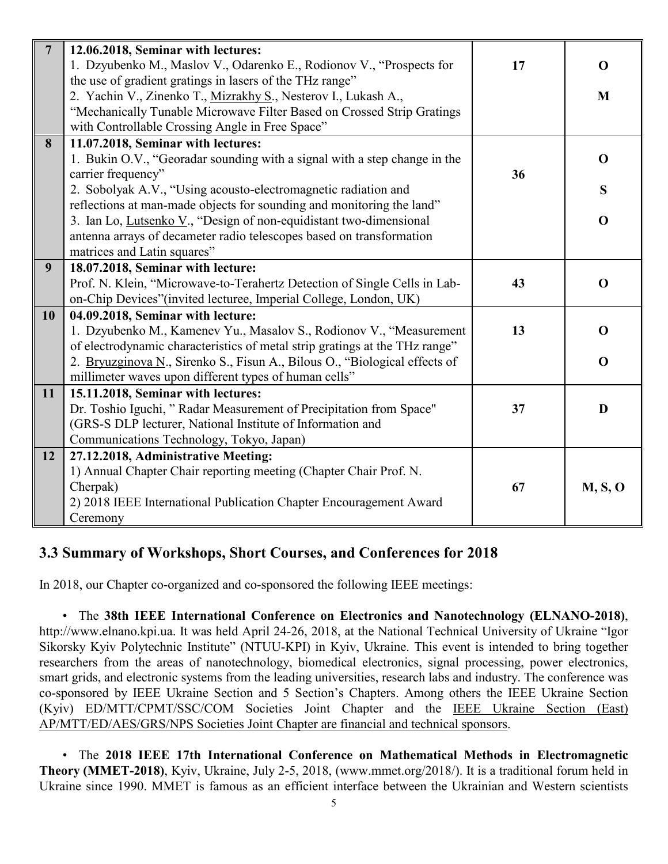| $7\overline{ }$  | 12.06.2018, Seminar with lectures:                                          |    |             |
|------------------|-----------------------------------------------------------------------------|----|-------------|
|                  | 1. Dzyubenko M., Maslov V., Odarenko E., Rodionov V., "Prospects for        | 17 | $\mathbf 0$ |
|                  | the use of gradient gratings in lasers of the THz range"                    |    |             |
|                  | 2. Yachin V., Zinenko T., Mizrakhy S., Nesterov I., Lukash A.,              |    | M           |
|                  | "Mechanically Tunable Microwave Filter Based on Crossed Strip Gratings      |    |             |
|                  | with Controllable Crossing Angle in Free Space"                             |    |             |
| 8                | 11.07.2018, Seminar with lectures:                                          |    |             |
|                  | 1. Bukin O.V., "Georadar sounding with a signal with a step change in the   |    | $\Omega$    |
|                  | carrier frequency"                                                          | 36 |             |
|                  | 2. Sobolyak A.V., "Using acousto-electromagnetic radiation and              |    | S           |
|                  | reflections at man-made objects for sounding and monitoring the land"       |    |             |
|                  | 3. Ian Lo, Lutsenko V., "Design of non-equidistant two-dimensional          |    | $\mathbf 0$ |
|                  | antenna arrays of decameter radio telescopes based on transformation        |    |             |
|                  | matrices and Latin squares"                                                 |    |             |
| $\boldsymbol{9}$ | 18.07.2018, Seminar with lecture:                                           |    |             |
|                  | Prof. N. Klein, "Microwave-to-Terahertz Detection of Single Cells in Lab-   | 43 | $\mathbf 0$ |
|                  | on-Chip Devices"(invited lecturee, Imperial College, London, UK)            |    |             |
| 10               | 04.09.2018, Seminar with lecture:                                           |    |             |
|                  | 1. Dzyubenko M., Kamenev Yu., Masalov S., Rodionov V., "Measurement         | 13 | $\Omega$    |
|                  | of electrodynamic characteristics of metal strip gratings at the THz range" |    |             |
|                  | 2. Bryuzginova N., Sirenko S., Fisun A., Bilous O., "Biological effects of  |    | $\mathbf 0$ |
|                  | millimeter waves upon different types of human cells"                       |    |             |
| 11               | 15.11.2018, Seminar with lectures:                                          |    |             |
|                  | Dr. Toshio Iguchi, "Radar Measurement of Precipitation from Space"          | 37 | D           |
|                  | (GRS-S DLP lecturer, National Institute of Information and                  |    |             |
|                  | Communications Technology, Tokyo, Japan)                                    |    |             |
| 12               | 27.12.2018, Administrative Meeting:                                         |    |             |
|                  | 1) Annual Chapter Chair reporting meeting (Chapter Chair Prof. N.           |    |             |
|                  | Cherpak)                                                                    | 67 | M, S, O     |
|                  | 2) 2018 IEEE International Publication Chapter Encouragement Award          |    |             |
|                  | Ceremony                                                                    |    |             |

## **3.3 Summary of Workshops, Short Courses, and Conferences for 2018**

In 2018, our Chapter co-organized and co-sponsored the following IEEE meetings:

• The **38th IEEE International Conference on Electronics and Nanotechnology (ELNANO-2018)**, http://www.elnano.kpi.ua. It was held April 24-26, 2018, at the National Technical University of Ukraine "Igor Sikorsky Kyiv Polytechnic Institute" (NTUU-KPI) in Kyiv, Ukraine. This event is intended to bring together researchers from the areas of nanotechnology, biomedical electronics, signal processing, power electronics, smart grids, and electronic systems from the leading universities, research labs and industry. The conference was co-sponsored by IEEE Ukraine Section and 5 Section's Chapters. Among others the IEEE Ukraine Section (Kyiv) ED/MTT/CPMT/SSC/COM Societies Joint Chapter and the IEEE Ukraine Section (East) AP/MTT/ED/AES/GRS/NPS Societies Joint Chapter are financial and technical sponsors.

• The **2018 IEEE 17th International Conference on Mathematical Methods in Electromagnetic Theory (MMET-2018)**, Kyiv, Ukraine, July 2-5, 2018, (www.mmet.org/2018/). It is a traditional forum held in Ukraine since 1990. MMET is famous as an efficient interface between the Ukrainian and Western scientists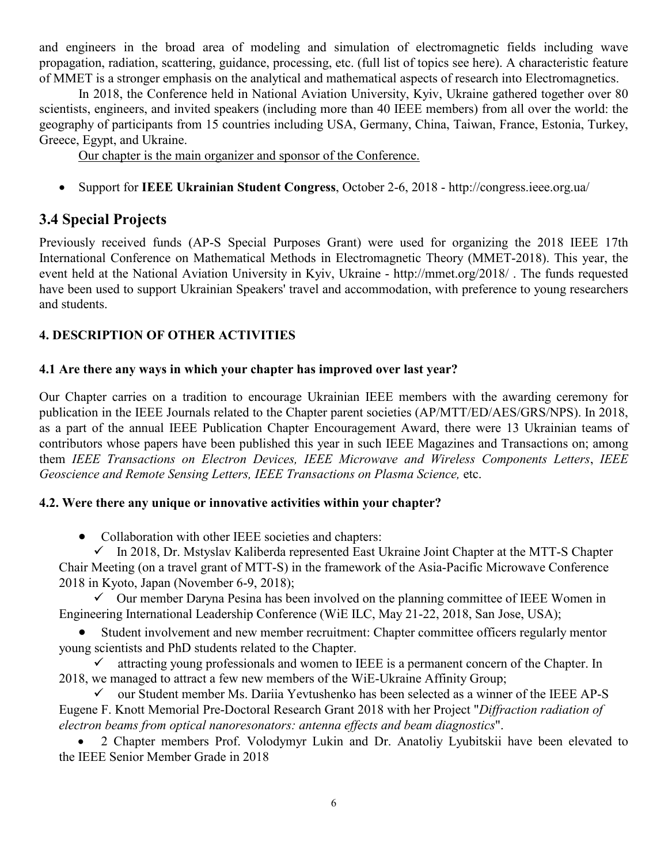and engineers in the broad area of modeling and simulation of electromagnetic fields including wave propagation, radiation, scattering, guidance, processing, etc. (full list of topics see here). A characteristic feature of MMET is a stronger emphasis on the analytical and mathematical aspects of research into Electromagnetics.

In 2018, the Conference held in National Aviation University, Kyiv, Ukraine gathered together over 80 scientists, engineers, and invited speakers (including more than 40 IEEE members) from all over the world: the geography of participants from 15 countries including USA, Germany, China, Taiwan, France, Estonia, Turkey, Greece, Egypt, and Ukraine.

Our chapter is the main organizer and sponsor of the Conference.

• Support for **IEEE Ukrainian Student Congress**, October 2-6, 2018 - http://congress.ieee.org.ua/

## **3.4 Special Projects**

Previously received funds (AP-S Special Purposes Grant) were used for organizing the 2018 IEEE 17th International Conference on Mathematical Methods in Electromagnetic Theory (MMET-2018). This year, the event held at the National Aviation University in Kyiv, Ukraine - http://mmet.org/2018/ . The funds requested have been used to support Ukrainian Speakers' travel and accommodation, with preference to young researchers and students.

### **4. DESCRIPTION OF OTHER ACTIVITIES**

### **4.1 Are there any ways in which your chapter has improved over last year?**

Our Chapter carries on a tradition to encourage Ukrainian IEEE members with the awarding ceremony for publication in the IEEE Journals related to the Chapter parent societies (AP/MTT/ED/AES/GRS/NPS). In 2018, as a part of the annual IEEE Publication Chapter Encouragement Award, there were 13 Ukrainian teams of contributors whose papers have been published this year in such IEEE Magazines and Transactions on; among them *IEEE Transactions on Electron Devices, IEEE Microwave and Wireless Components Letters*, *IEEE Geoscience and Remote Sensing Letters, IEEE Transactions on Plasma Science,* etc.

### **4.2. Were there any unique or innovative activities within your chapter?**

• Collaboration with other IEEE societies and chapters:

 $\checkmark$  In 2018, Dr. Mstyslav Kaliberda represented East Ukraine Joint Chapter at the MTT-S Chapter Chair Meeting (on a travel grant of MTT-S) in the framework of the Asia-Pacific Microwave Conference 2018 in Kyoto, Japan (November 6-9, 2018);

 $\checkmark$  Our member Daryna Pesina has been involved on the planning committee of IEEE Women in Engineering International Leadership Conference (WiE ILC, May 21-22, 2018, San Jose, USA);

Student involvement and new member recruitment: Chapter committee officers regularly mentor young scientists and PhD students related to the Chapter.

 $\checkmark$  attracting young professionals and women to IEEE is a permanent concern of the Chapter. In 2018, we managed to attract a few new members of the WiE-Ukraine Affinity Group;

 $\checkmark$  our Student member Ms. Dariia Yevtushenko has been selected as a winner of the IEEE AP-S Eugene F. Knott Memorial Pre-Doctoral Research Grant 2018 with her Project "*Diffraction radiation of electron beams from optical nanoresonators: antenna effects and beam diagnostics*".

• 2 Chapter members Prof. Volodymyr Lukin and Dr. Anatoliy Lyubitskii have been elevated to the IEEE Senior Member Grade in 2018